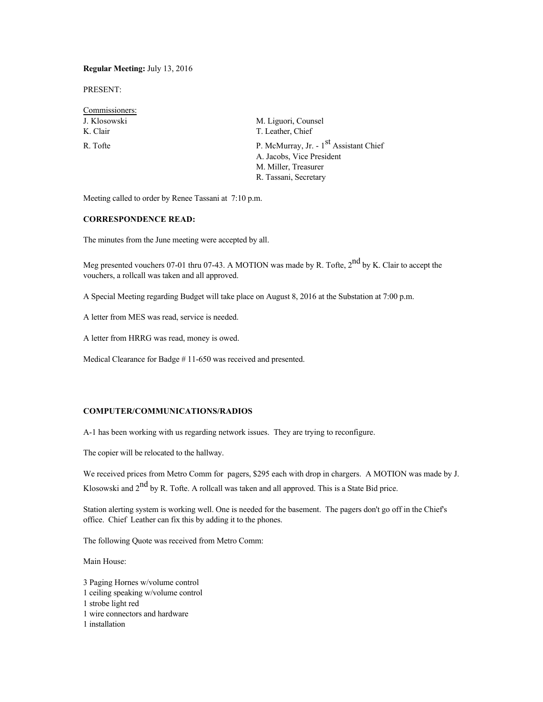## **Regular Meeting:** July 13, 2016

PRESENT:

| M. Liguori, Counsel                                                                                                              |
|----------------------------------------------------------------------------------------------------------------------------------|
| T. Leather, Chief                                                                                                                |
| P. McMurray, Jr. - 1 <sup>st</sup> Assistant Chief<br>A. Jacobs, Vice President<br>M. Miller, Treasurer<br>R. Tassani, Secretary |
|                                                                                                                                  |

Meeting called to order by Renee Tassani at 7:10 p.m.

# **CORRESPONDENCE READ:**

The minutes from the June meeting were accepted by all.

Meg presented vouchers 07-01 thru 07-43. A MOTION was made by R. Tofte, 2<sup>nd</sup> by K. Clair to accept the vouchers, a rollcall was taken and all approved.

A Special Meeting regarding Budget will take place on August 8, 2016 at the Substation at 7:00 p.m.

A letter from MES was read, service is needed.

A letter from HRRG was read, money is owed.

Medical Clearance for Badge # 11-650 was received and presented.

# **COMPUTER/COMMUNICATIONS/RADIOS**

A-1 has been working with us regarding network issues. They are trying to reconfigure.

The copier will be relocated to the hallway.

We received prices from Metro Comm for pagers, \$295 each with drop in chargers. A MOTION was made by J. Klosowski and  $2<sup>nd</sup>$  by R. Tofte. A rollcall was taken and all approved. This is a State Bid price.

Station alerting system is working well. One is needed for the basement. The pagers don't go off in the Chief's office. Chief Leather can fix this by adding it to the phones.

The following Quote was received from Metro Comm:

Main House:

3 Paging Hornes w/volume control 1 ceiling speaking w/volume control 1 strobe light red 1 wire connectors and hardware 1 installation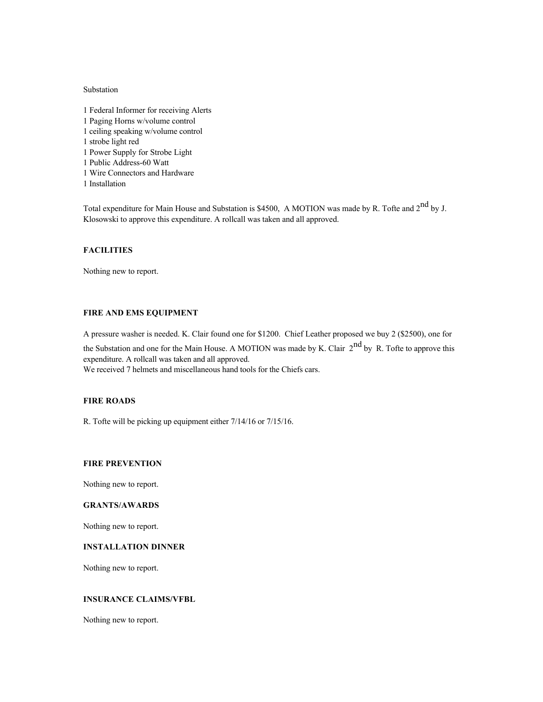### Substation

- 1 Federal Informer for receiving Alerts 1 Paging Horns w/volume control 1 ceiling speaking w/volume control 1 strobe light red 1 Power Supply for Strobe Light
- 1 Public Address-60 Watt
- 1 Wire Connectors and Hardware
- 1 Installation

Total expenditure for Main House and Substation is \$4500, A MOTION was made by R. Tofte and 2<sup>nd</sup> by J. Klosowski to approve this expenditure. A rollcall was taken and all approved.

## **FACILITIES**

Nothing new to report.

# **FIRE AND EMS EQUIPMENT**

A pressure washer is needed. K. Clair found one for \$1200. Chief Leather proposed we buy 2 (\$2500), one for

the Substation and one for the Main House. A MOTION was made by K. Clair  $2^{nd}$  by R. Tofte to approve this expenditure. A rollcall was taken and all approved.

We received 7 helmets and miscellaneous hand tools for the Chiefs cars.

### **FIRE ROADS**

R. Tofte will be picking up equipment either 7/14/16 or 7/15/16.

### **FIRE PREVENTION**

Nothing new to report.

# **GRANTS/AWARDS**

Nothing new to report.

# **INSTALLATION DINNER**

Nothing new to report.

# **INSURANCE CLAIMS/VFBL**

Nothing new to report.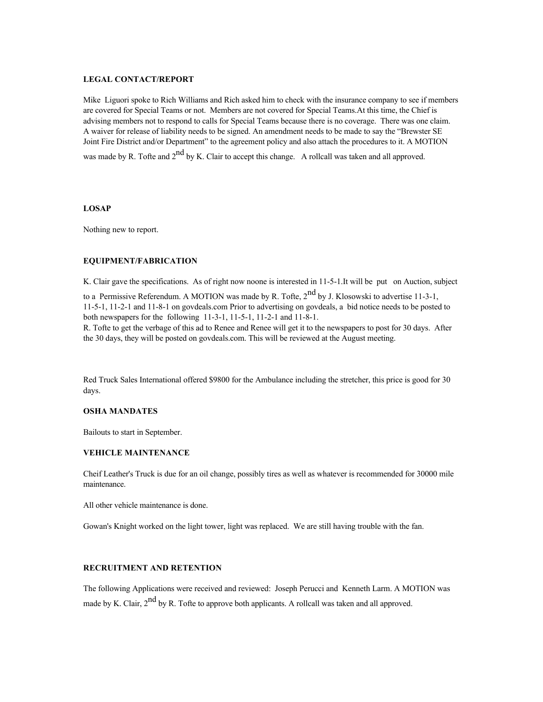### **LEGAL CONTACT/REPORT**

Mike Liguori spoke to Rich Williams and Rich asked him to check with the insurance company to see if members are covered for Special Teams or not. Members are not covered for Special Teams.At this time, the Chief is advising members not to respond to calls for Special Teams because there is no coverage. There was one claim. A waiver for release of liability needs to be signed. An amendment needs to be made to say the "Brewster SE Joint Fire District and/or Department" to the agreement policy and also attach the procedures to it. A MOTION was made by R. Tofte and  $2^{nd}$  by K. Clair to accept this change. A rollcall was taken and all approved.

#### **LOSAP**

Nothing new to report.

## **EQUIPMENT/FABRICATION**

K. Clair gave the specifications. As of right now noone is interested in 11-5-1.It will be put on Auction, subject to a Permissive Referendum. A MOTION was made by R. Tofte,  $2^{nd}$  by J. Klosowski to advertise 11-3-1, 11-5-1, 11-2-1 and 11-8-1 on govdeals.com Prior to advertising on govdeals, a bid notice needs to be posted to

both newspapers for the following 11-3-1, 11-5-1, 11-2-1 and 11-8-1.

R. Tofte to get the verbage of this ad to Renee and Renee will get it to the newspapers to post for 30 days. After the 30 days, they will be posted on govdeals.com. This will be reviewed at the August meeting.

Red Truck Sales International offered \$9800 for the Ambulance including the stretcher, this price is good for 30 days.

### **OSHA MANDATES**

Bailouts to start in September.

## **VEHICLE MAINTENANCE**

Cheif Leather's Truck is due for an oil change, possibly tires as well as whatever is recommended for 30000 mile maintenance.

All other vehicle maintenance is done.

Gowan's Knight worked on the light tower, light was replaced. We are still having trouble with the fan.

## **RECRUITMENT AND RETENTION**

The following Applications were received and reviewed: Joseph Perucci and Kenneth Larm. A MOTION was made by K. Clair,  $2^{nd}$  by R. Tofte to approve both applicants. A rollcall was taken and all approved.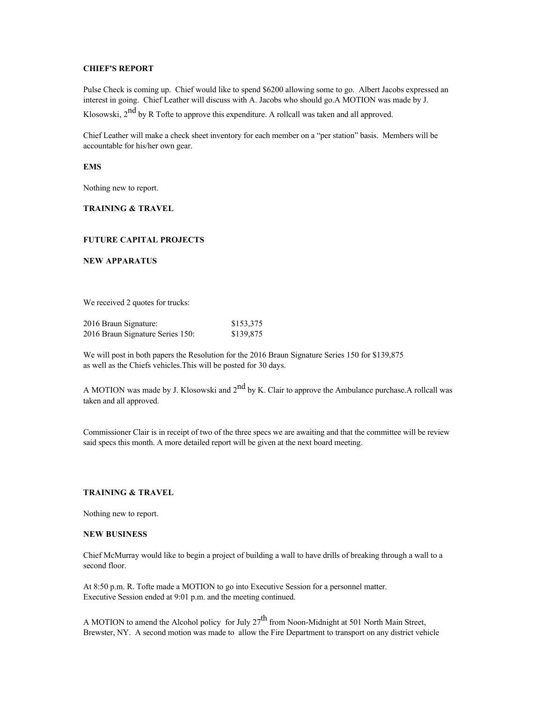# **CHIEF'S REPORT**

Pulse Check is coming up. Chief would like to spend \$6200 allowing some to go. Albert Jacobs expressed an interest in going. Chief Leather will discuss with A. Jacobs who should go.A MOTION was made by J.

Klosowski, 2<sup>nd</sup> by R Tofte to approve this expenditure. A rollcall was taken and all approved.

Chief Leather will make a check sheet inventory for each member on a "per station" basis. Members will be accountable for his/her own gear.

**EMS**

Nothing new to report.

### **TRAINING & TRAVEL**

## **FUTURE CAPITAL PROJECTS**

**NEW APPARATUS**

We received 2 quotes for trucks:

| 2016 Braun Signature: |                                  | \$153,375 |
|-----------------------|----------------------------------|-----------|
|                       | 2016 Braun Signature Series 150: | \$139,875 |

We will post in both papers the Resolution for the 2016 Braun Signature Series 150 for \$139,875 as well as the Chiefs vehicles.This will be posted for 30 days.

A MOTION was made by J. Klosowski and  $2<sup>nd</sup>$  by K. Clair to approve the Ambulance purchase.A rollcall was taken and all approved.

Commissioner Clair is in receipt of two of the three specs we are awaiting and that the committee will be review said specs this month. A more detailed report will be given at the next board meeting.

## **TRAINING & TRAVEL**

Nothing new to report.

#### **NEW BUSINESS**

Chief McMurray would like to begin a project of building a wall to have drills of breaking through a wall to a second floor.

At 8:50 p.m. R. Tofte made a MOTION to go into Executive Session for a personnel matter. Executive Session ended at 9:01 p.m. and the meeting continued.

A MOTION to amend the Alcohol policy for July  $27<sup>th</sup>$  from Noon-Midnight at 501 North Main Street, Brewster, NY. A second motion was made to allow the Fire Department to transport on any district vehicle